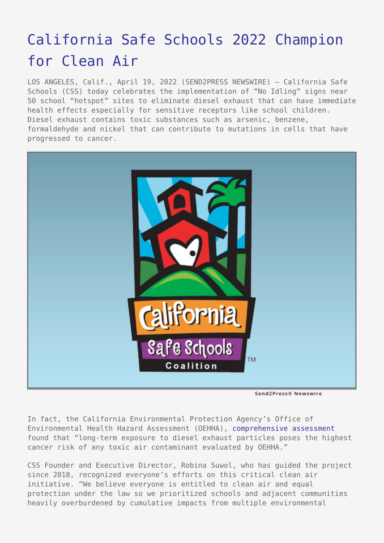## [California Safe Schools 2022 Champion](https://www.send2press.com/wire/california-safe-schools-2022-champion-for-clean-air/) [for Clean Air](https://www.send2press.com/wire/california-safe-schools-2022-champion-for-clean-air/)

LOS ANGELES, Calif., April 19, 2022 (SEND2PRESS NEWSWIRE) — California Safe Schools (CSS) today celebrates the implementation of "No Idling" signs near 50 school "hotspot" sites to eliminate diesel exhaust that can have immediate health effects especially for sensitive receptors like school children. Diesel exhaust contains toxic substances such as arsenic, benzene, formaldehyde and nickel that can contribute to mutations in cells that have progressed to cancer.



Send2Press® Newswire

In fact, the California Environmental Protection Agency's Office of Environmental Health Hazard Assessment (OEHHA), [comprehensive assessment](https://oehha.ca.gov/air/health-effects-diesel-exhaust) found that "long-term exposure to diesel exhaust particles poses the highest cancer risk of any toxic air contaminant evaluated by OEHHA."

CSS Founder and Executive Director, Robina Suwol, who has guided the project since 2018, recognized everyone's efforts on this critical clean air initiative. "We believe everyone is entitled to clean air and equal protection under the law so we prioritized schools and adjacent communities heavily overburdened by cumulative impacts from multiple environmental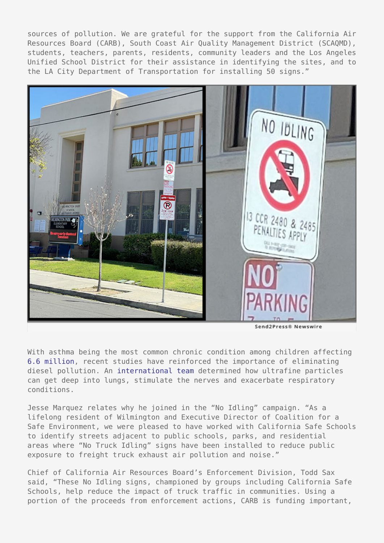sources of pollution. We are grateful for the support from the California Air Resources Board (CARB), South Coast Air Quality Management District (SCAQMD), students, teachers, parents, residents, community leaders and the Los Angeles Unified School District for their assistance in identifying the sites, and to the LA City Department of Transportation for installing 50 signs."



With asthma being the most common chronic condition among children affecting [6.6 million](https://www.lung.org/lung-health-diseases/lung-disease-lookup/asthma/learn-about-asthma/asthma-children-facts-sheet), recent studies have reinforced the importance of eliminating diesel pollution. An [international team](https://www.sciencedaily.com/releases/2017/05/170522080928.htm) determined how ultrafine particles can get deep into lungs, stimulate the nerves and exacerbate respiratory conditions.

Jesse Marquez relates why he joined in the "No Idling" campaign. "As a lifelong resident of Wilmington and Executive Director of Coalition for a Safe Environment, we were pleased to have worked with California Safe Schools to identify streets adjacent to public schools, parks, and residential areas where "No Truck Idling" signs have been installed to reduce public exposure to freight truck exhaust air pollution and noise."

Chief of California Air Resources Board's Enforcement Division, Todd Sax said, "These No Idling signs, championed by groups including California Safe Schools, help reduce the impact of truck traffic in communities. Using a portion of the proceeds from enforcement actions, CARB is funding important,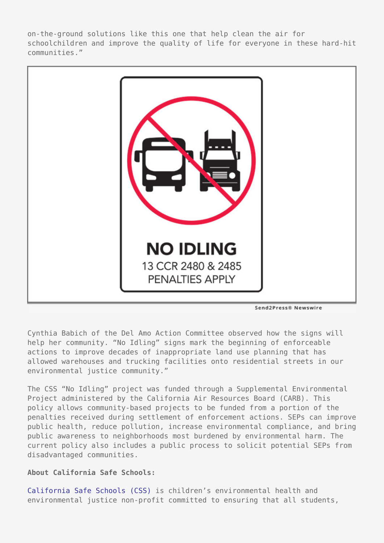on-the-ground solutions like this one that help clean the air for schoolchildren and improve the quality of life for everyone in these hard-hit communities."



Send2Press® Newswire

Cynthia Babich of the Del Amo Action Committee observed how the signs will help her community. "No Idling" signs mark the beginning of enforceable actions to improve decades of inappropriate land use planning that has allowed warehouses and trucking facilities onto residential streets in our environmental justice community."

The CSS "No Idling" project was funded through a Supplemental Environmental Project administered by the California Air Resources Board (CARB). This policy allows community-based projects to be funded from a portion of the penalties received during settlement of enforcement actions. SEPs can improve public health, reduce pollution, increase environmental compliance, and bring public awareness to neighborhoods most burdened by environmental harm. The current policy also includes a public process to solicit potential SEPs from disadvantaged communities.

## **About California Safe Schools:**

[California Safe Schools \(CSS\)](http://calisafe.org/) is children's environmental health and environmental justice non-profit committed to ensuring that all students,